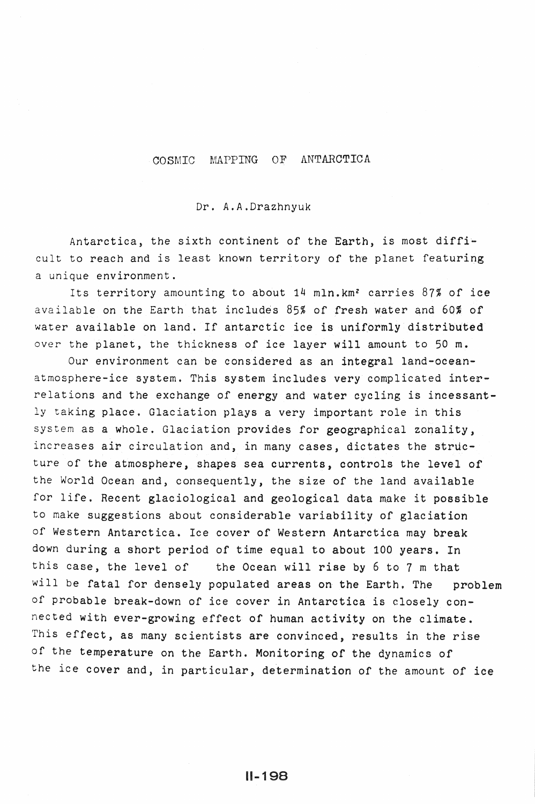# COSMIC MAPPING OF ANTARCTICA

#### Dr. A.A.Drazhnyuk

Antarctica, the sixth continent of the Earth, is most difficult to reach and is least known territory of the planet featuring a unique environment.

Its territory amounting to about  $14$  mln.km<sup>2</sup> carries  $87\%$  of ice available on the Earth that includes  $85%$  of fresh water and  $60%$  of water available on land. If antarctic ice is uniformly distributed over the planet, the thickness of ice layer will amount to 50 m.

Our environment can be considered as an integral land-oceanatmosphere-ice system. This system includes very complicated inte~ relations and the exchange of energy and water cycling is incessantly taking place. Glaciation plays a very important role in this system as a whole. Glaciation provides for geographical zonality, increases air circulation and, in many cases, dictates the structure of the atmosphere, shapes sea currents, controls the level of the World Ocean and, consequently, the size of the land available for life. Recent glaciological and geological data make it possible to make suggestions about considerable variability of glaciation of Western Antarctica. Ice cover of Western Antarctica may hreak down during a short period of time equal to about 100 years. In this case, the level of the Ocean will rise by 6 to 7 m that will be fatal for densely populated areas on the Earth. The problem of probable break-down of ice cover in Antarctica is closely connected with ever-growing effect of human activity on the climate. This effect, as many scientists are convinced, results in the rise of the temperature on the Earth. Monitoring of the dynamics of the ice cover and, in particular, determination of the amount of ice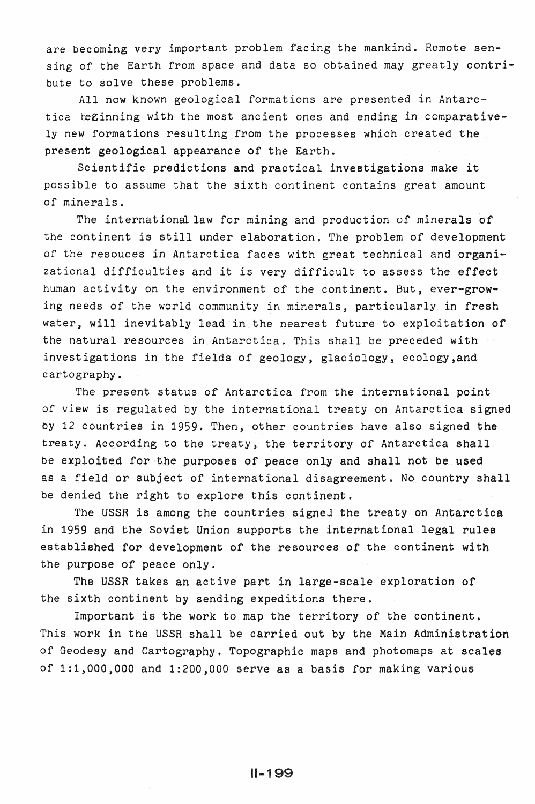are becoming very important problem facing the mankind. Remote sensing of the Earth from space and data so obtained may greatly contribute to solve these problems.

All now known geological formations are presented in Antarctica beginning with the most ancient ones and ending in comparatively new formations resulting from the processes which created the present geological appearance of the Earth.

Scientific predictions and practical investigations make it possible to assume that the sixth continent contains great amount of minerals.

The international law for mining and production of minerals of the continent is still under elaboration. The problem of development of the resouces in Antarctica faces with great technical and organizational difficulties and *it* is very difficult to assess the effect human activity on the environment of the continent. But, ever-growing needs of the world community in minerals, particularly in fresh water, will inevitably lead in the nearest future to exploitation of the natural resources in Antarctica. This shall be preceded with investigations in the fields of geology, glaciology, ecology,and cartography.

The present status of Antarctica from the international point of view is regulated by the international treaty on Antarctica signed by 12 countries in 1959. Then, other countries have also signed the treaty. According to the treaty, the territory of Antarctica shall be exploited for the purposes of peace only and shall not be used as a field or subject of international disagreement. No country shall be denied the right to explore this continent.

The USSR is among the countries signed the treaty on Antarctica in 1959 and the Soviet Union supports the international legal rules established for development of the resources of the continent with the purpose of peace only.

The USSR takes an active part in large-scale exploration of the sixth continent by sending expeditions there.

Important is the work to map the territory of the continent. This work in the USSR shall be carried out by the Main Administration of Geodesy and Cartography. Topographic maps and photomaps at scales of 1:1,000,000 and 1:200,000 serve as a basis for making various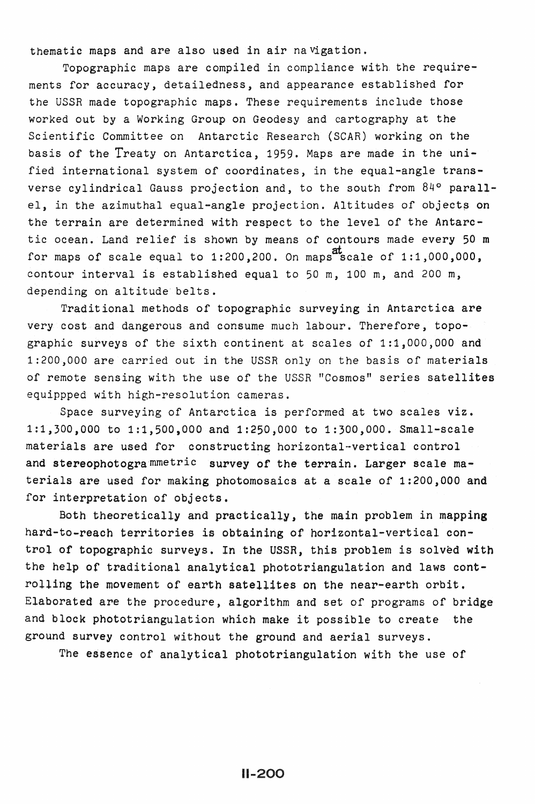thematic maps and are also used in air navigation.

Topographic maps are compiled in compliance with. the requirements for accuracy, detailedness, and appearance established for the USSR made topographic maps. These requirements include those worked out by a Working Group on Geodesy and cartography at the Scientific Committee on Antarctic Research (SCAR) working on the basis of the Treaty on Antarctica, 1959. Maps are made in the unified international system of coordinates, in the equal-angle transverse cylindrical Gauss projection and, to the south from 84° parallel, in the azimuthal equal-angle projection. Altitudes of objects on the terrain are determined with respect to the level of the Antarctic ocean. Land relief is shown by means of contours made every 50 m for maps of scale equal to 1:200,200. On maps scale of 1:1,000,000, contour interval is established equal to 50 m, 100 *m,* and 200 m, depending on altitude' belts.

Traditional methods of topographic surveying in Antarctica are very cost and dangerous and consume much labour. Therefore, topographic surveys of the sixth continent at scales of 1:1,000,000 and 1:200,000 are carried out in the USSR only on the basis of materials of remote sensing with the use of the USSR "Cosmos" series satellites equippped with high-resolution cameras.

Space surveying of Antarctica is performed at two scales viz. 1:1,300,000 to 1:1,500,000 and 1:250,000 to 1:300,000. Small-scale materials are used for constructing horizontal-vertical control and stereophotogrammetric survey of the terrain. Larger scale materials are used for making photomosaics at a scale of 1:200,000 and for interpretation of objects.

Both theoretically and practically, the main problem in mapping hard-to-reach territories is obtaining of horizontal-vertical control of topographic surveys. In the USSR, this problem is solved with the help of traditional analytical phototriangulation and laws controlling the movement of earth satellites on the near-earth orbit. Elaborated are the procedure, algorithm and set of programs of bridge and block phototriangulation which make it possible to create the ground survey control without the ground and aerial surveys.

The essence of analytical phototriangulation with the use of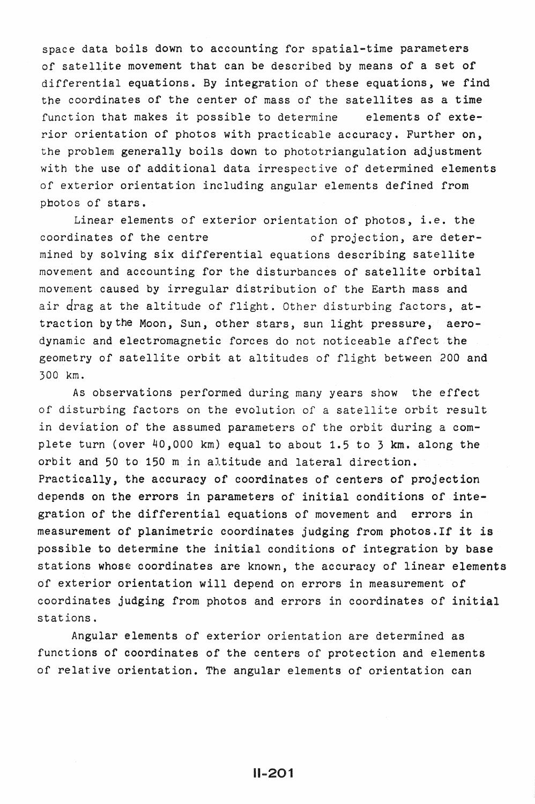space data boils down to accounting for spatial-time parameters of satellite movement that can be described by means of a set of differential equations. By integration of these equations, we find the coordinates of the center of mass of the satellites as a time function that makes it possible to determine elements of exterior orientation of photos with practicable accuracy. Further on, the problem generally boils down to phototriangulation adjustment with the use of additional data irrespective of determined elements of exterior orientation including angular elements defined from photos of stars.

Linear elements of exterior orientation of photos, i.e. the coordinates of the centre of projection, are determined by solving six differential equations describing satellite movement and accounting for the disturbances of satellite orbital movement caused by irregular distribution of the Earth mass and air drag at the altitude of flight. Other disturbing factors, attraction by the Moon, Sun, other stars, sun light pressure, aerodynamic and electromagnetic forces do not noticeable affect the geometry of satellite orbit at altitudes of flight between 200 and 300 km.

As observations performed during many years show the effect of disturbing factors on the evolution of a satellite orbit result in deviation of the assumed parameters of the orbit during a complete turn (over 40,000 km) equal to about 1.5 to 3 km. along the orbit and 50 to 150 m in altitude and lateral direction. Practically, the accuracy of coordinates of centers of projection depends on the errors in parameters of initial conditions of integration of the differential equations of movement and errors in measurement of planimetric coordinates judging from photos.If it is possible to determine the initial conditions of integration by base stations whose coordinates are known, the accuracy of linear elements of exterior orientation will depend on errors in measurement of coordinates judging from photos and errors in coordinates of initial stations.

Angular elements of exterior orientation are determined as functions of coordinates of the centers of protection and elements of relative orientation. The angular elements of orientation can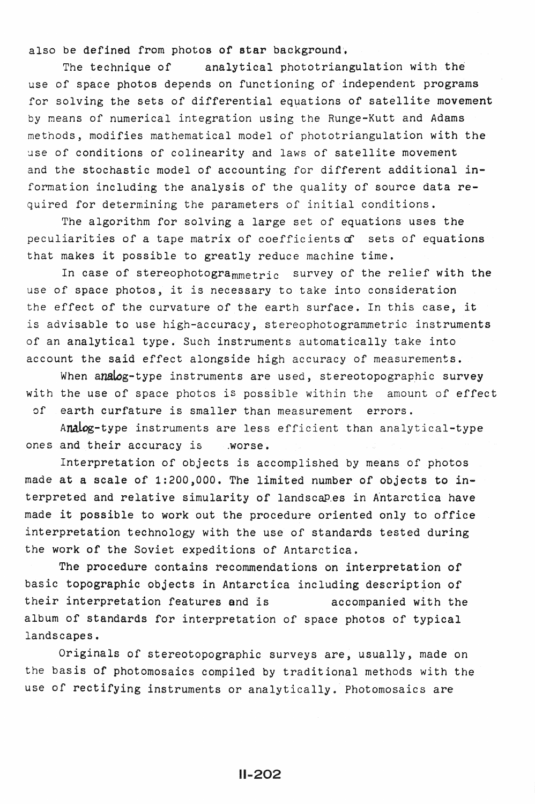also be defined from photos of star background,

The technique of analytical phototriangulation with the use of space photos depends on functioning of independent programs for solving the sets of differential equations of satellite movement by means of numerical integration using the Runge-Kutt and Adams methods, modifies mathematical model of phototriangulation with the use of conditions of colinearity and laws of satellite movement and the stochastic model of accounting for different additional information including the analysis of the quality of source data required for determining the parameters of initial conditions.

The algorithm for solving a large set of equations uses the peculiarities of a tape matrix of coefficients  $\alpha$  sets of equations that makes it possible to greatly reduce machine time.

In case of stereophotogrammetric survey of the relief with the use of space photos, it is necessary to take into consideration the effect of the curvature of the earth surface. In this case, it is advisable to use high-accuracy, stereophotogrammetric instruments of an analytical type. Such instruments automatically take into account the said effect alongside high accuracy of measurements.

When analog-type instruments are used, stereotopographic survey with the use of space photos is possible within the amount of effect of earth curfature is smaller than measurement errors.

Analog-type instruments are less efficient than analytical-type ones and their accuracy is .worse.

Interpretation of objects is accomplished by means of photos made at a scale of 1:200,000. The limited number of objects to interpreted and relative simularity of landscapes in Antarctica have made it possible to work out the procedure oriented only to office interpretation technology with the use of standards tested during the work of the Soviet expeditions of Antarctica.

The procedure contains recommendations on interpretation of basic topographic objects in Antarctica including description of their interpretation features and is accompanied with the album of standards for interpretation of space photos of typical landscapes.

Originals of stereotopographic surveys are, usually, made on the basis of photomosaics compiled by traditional methods with the use of rectifying instruments or analytically. Photomosaics are

11-202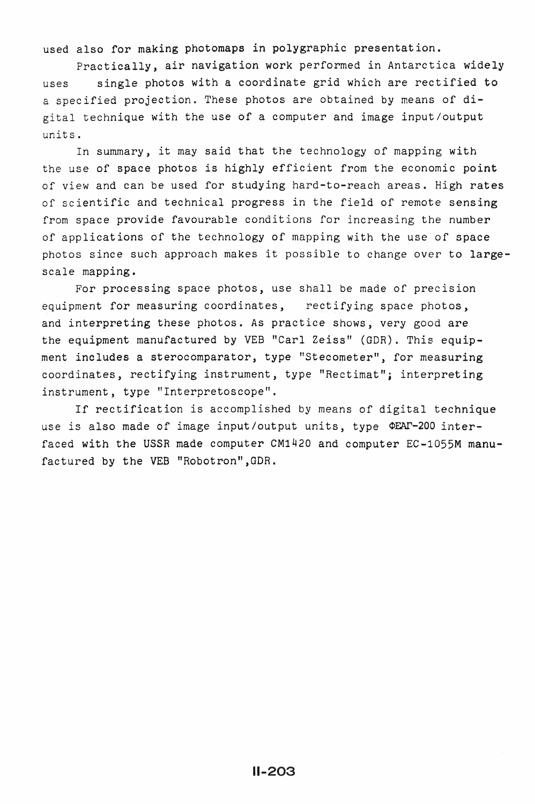used also for making photomaps *in* polygraphic presentation.

Practically, air navigation work performed in Antarctica widely uses single photos with a coordinate grid which are rectified to a specified projection. These photos are obtained by means of digital technique with the use of a computer and image input/output units.

In summary, it may said that the technology of mapping with the use of space photos is highly efficient from the economic point of view and can be used for studying hard-to-reach areas. High rates of scientific and technical progress in the field of remote sensing from space provide favourable conditions for increasing the number of applications of the technology of mapping with the use of space photos since such approach makes it possible to change over to largescale mapping.

For processing space photos, use shall be made of precision equipment for measuring coordinates, rectifying space photos. and interpreting these photos. As practice shows, very good are the equipment manufactured by VEB "Carl Zeiss" (GDR). This equipment includes a sterocomparator, type "Stecometer", for measuring coordinates, rectifying instrument, type "Rectimat"; interpreting instrument, type "Interpretoscope".

If rectification is accomplished by means of digital technique use is also made of image input/output units, type OEAT-200 interfaced with the USSR made computer CM1420 and computer EC-1055M manufactured by the VEB "Robotron",GDR.